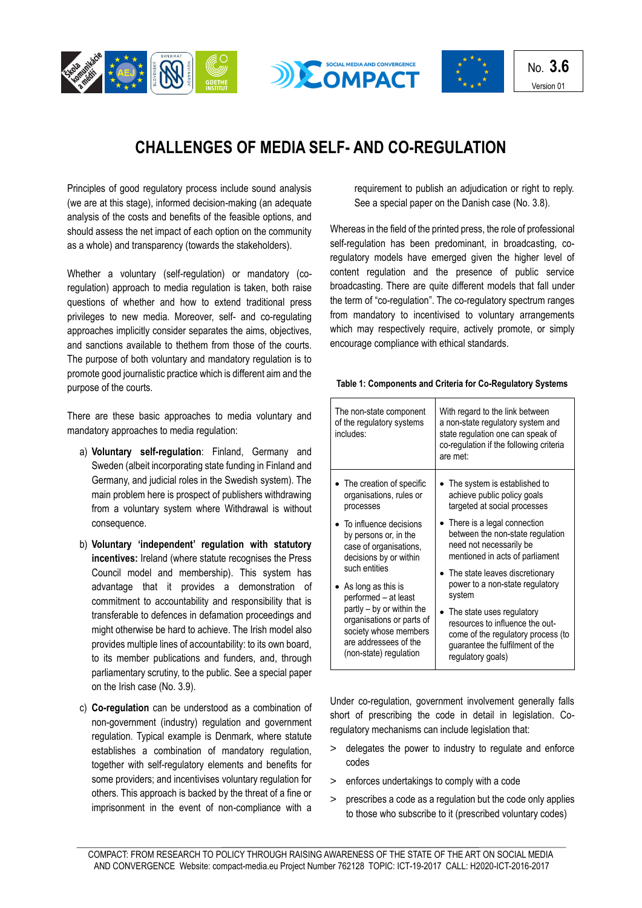





## **CHALLENGES OF MEDIA SELF- AND CO-REGULATION**

Principles of good regulatory process include sound analysis (we are at this stage), informed decision-making (an adequate analysis of the costs and benefits of the feasible options, and should assess the net impact of each option on the community as a whole) and transparency (towards the stakeholders).

Whether a voluntary (self-regulation) or mandatory (coregulation) approach to media regulation is taken, both raise questions of whether and how to extend traditional press privileges to new media. Moreover, self- and co-regulating approaches implicitly consider separates the aims, objectives, and sanctions available to thethem from those of the courts. The purpose of both voluntary and mandatory regulation is to promote good journalistic practice which is different aim and the purpose of the courts.

There are these basic approaches to media voluntary and mandatory approaches to media regulation:

- a) **Voluntary self-regulation**: Finland, Germany and Sweden (albeit incorporating state funding in Finland and Germany, and judicial roles in the Swedish system). The main problem here is prospect of publishers withdrawing from a voluntary system where Withdrawal is without consequence.
- b) **Voluntary 'independent' regulation with statutory incentives:** Ireland (where statute recognises the Press Council model and membership). This system has advantage that it provides a demonstration of commitment to accountability and responsibility that is transferable to defences in defamation proceedings and might otherwise be hard to achieve. The Irish model also provides multiple lines of accountability: to its own board, to its member publications and funders, and, through parliamentary scrutiny, to the public. See a special paper on the Irish case (No. 3.9).
- c) **Co-regulation** can be understood as a combination of non-government (industry) regulation and government regulation. Typical example is Denmark, where statute establishes a combination of mandatory regulation, together with self-regulatory elements and benefits for some providers; and incentivises voluntary regulation for others. This approach is backed by the threat of a fine or imprisonment in the event of non-compliance with a

requirement to publish an adjudication or right to reply. See a special paper on the Danish case (No. 3.8).

Whereas in the field of the printed press, the role of professional self-regulation has been predominant, in broadcasting, coregulatory models have emerged given the higher level of content regulation and the presence of public service broadcasting. There are quite different models that fall under the term of "co-regulation". The co-regulatory spectrum ranges from mandatory to incentivised to voluntary arrangements which may respectively require, actively promote, or simply encourage compliance with ethical standards.

## **Table 1: Components and Criteria for Co-Regulatory Systems**

| The non-state component<br>of the regulatory systems<br>includes:                                                                                                                                           | With regard to the link between<br>a non-state regulatory system and<br>state regulation one can speak of<br>co-regulation if the following criteria<br>are met: |
|-------------------------------------------------------------------------------------------------------------------------------------------------------------------------------------------------------------|------------------------------------------------------------------------------------------------------------------------------------------------------------------|
| The creation of specific<br>organisations, rules or<br>processes                                                                                                                                            | The system is established to<br>achieve public policy goals<br>targeted at social processes                                                                      |
| • To influence decisions<br>by persons or, in the<br>case of organisations,<br>decisions by or within                                                                                                       | • There is a legal connection<br>between the non-state regulation<br>need not necessarily be<br>mentioned in acts of parliament                                  |
| such entities<br>$\bullet$ As long as this is<br>performed - at least<br>partly – by or within the<br>organisations or parts of<br>society whose members<br>are addressees of the<br>(non-state) regulation | The state leaves discretionary<br>power to a non-state regulatory<br>system                                                                                      |
|                                                                                                                                                                                                             | The state uses regulatory<br>resources to influence the out-<br>come of the regulatory process (to<br>guarantee the fulfilment of the<br>regulatory goals)       |

Under co-regulation, government involvement generally falls short of prescribing the code in detail in legislation. Coregulatory mechanisms can include legislation that:

- > delegates the power to industry to regulate and enforce codes
- > enforces undertakings to comply with a code
- > prescribes a code as a regulation but the code only applies to those who subscribe to it (prescribed voluntary codes)